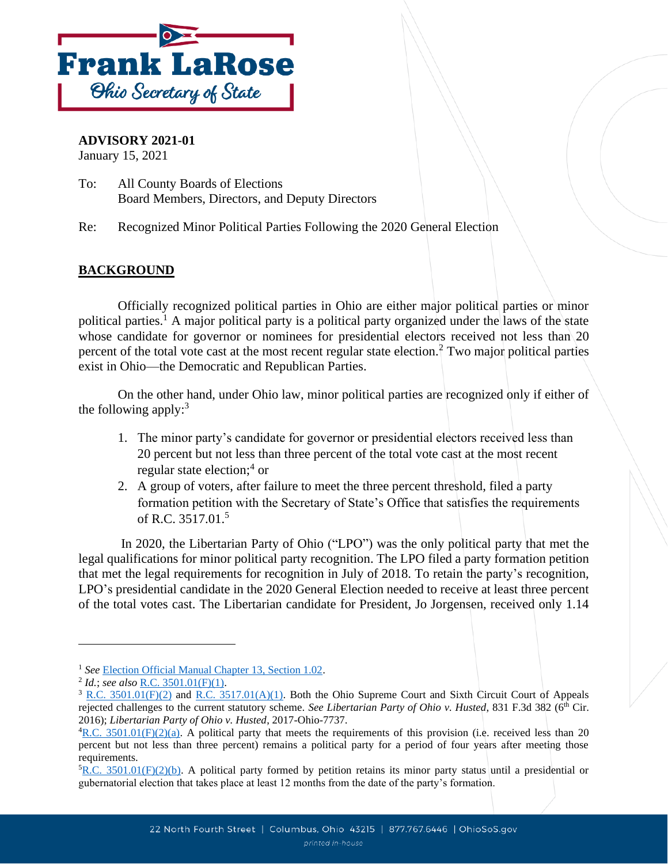

## **ADVISORY 2021-01**

January 15, 2021

To: All County Boards of Elections Board Members, Directors, and Deputy Directors

Re: Recognized Minor Political Parties Following the 2020 General Election

## **BACKGROUND**

Officially recognized political parties in Ohio are either major political parties or minor political parties.<sup>1</sup> A major political party is a political party organized under the laws of the state whose candidate for governor or nominees for presidential electors received not less than 20 percent of the total vote cast at the most recent regular state election.<sup>2</sup> Two major political parties exist in Ohio—the Democratic and Republican Parties.

On the other hand, under Ohio law, minor political parties are recognized only if either of the following apply: $3$ 

- 1. The minor party's candidate for governor or presidential electors received less than 20 percent but not less than three percent of the total vote cast at the most recent regular state election; 4 or
- 2. A group of voters, after failure to meet the three percent threshold, filed a party formation petition with the Secretary of State's Office that satisfies the requirements of R.C. 3517.01.<sup>5</sup>

In 2020, the Libertarian Party of Ohio ("LPO") was the only political party that met the legal qualifications for minor political party recognition. The LPO filed a party formation petition that met the legal requirements for recognition in July of 2018. To retain the party's recognition, LPO's presidential candidate in the 2020 General Election needed to receive at least three percent of the total votes cast. The Libertarian candidate for President, Jo Jorgensen, received only 1.14

<sup>1</sup> *See* [Election Official Manual Chapter 13, Section 1.02.](https://www.ohiosos.gov/globalassets/elections/directives/2019/eom_12-2019/eom_ch13_2019-12-18.pdf)

<sup>2</sup> *Id.*; *see also* [R.C. 3501.01\(F\)\(1\).](http://codes.ohio.gov/orc/3501.01)

 $3$  [R.C. 3501.01\(F\)\(](http://codes.ohio.gov/orc/3501.01)2) and [R.C. 3517.01\(A\)\(1\).](http://codes.ohio.gov/orc/3517.01) Both the Ohio Supreme Court and Sixth Circuit Court of Appeals rejected challenges to the current statutory scheme. *See Libertarian Party of Ohio v. Husted*, 831 F.3d 382 (6<sup>th</sup> Cir. 2016); *Libertarian Party of Ohio v. Husted*, 2017-Ohio-7737.

 ${}^{4}R.C. 3501.01(F)(2)(a)$ . A political party that meets the requirements of this provision (i.e. received less than 20 percent but not less than three percent) remains a political party for a period of four years after meeting those requirements.

 ${}^5R.C. 3501.01(F)(2)(b)$ . A political party formed by petition retains its minor party status until a presidential or gubernatorial election that takes place at least 12 months from the date of the party's formation.